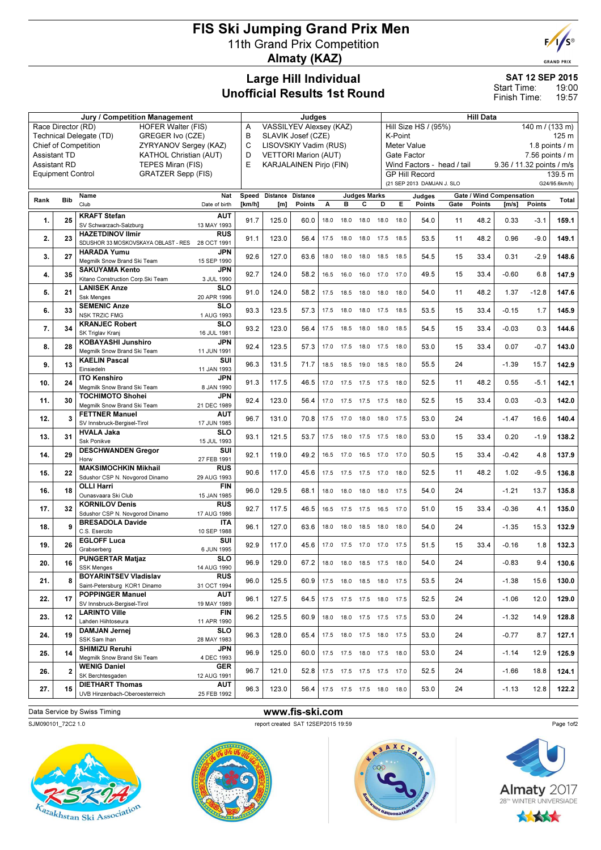## FIS Ski Jumping Grand Prix Men 11th Grand Prix Competition Almaty (KAZ)



**GRAND PRIX** 

### Large Hill Individual Unofficial Results 1st Round

SAT 12 SEP 2015

19:00 19:57 Start Time: Finish Time:

|                          |              | Jury / Competition Management                                                       | Judges                              |                   |        |      |           |                     |                              | <b>Hill Data</b>                        |                            |                            |               |                                 |               |               |  |
|--------------------------|--------------|-------------------------------------------------------------------------------------|-------------------------------------|-------------------|--------|------|-----------|---------------------|------------------------------|-----------------------------------------|----------------------------|----------------------------|---------------|---------------------------------|---------------|---------------|--|
| Race Director (RD)       |              | <b>HOFER Walter (FIS)</b>                                                           | <b>VASSILYEV Alexsey (KAZ)</b><br>A |                   |        |      |           |                     |                              | Hill Size HS / (95%)<br>140 m / (133 m) |                            |                            |               |                                 |               |               |  |
|                          |              | Technical Delegate (TD)<br>GREGER Ivo (CZE)                                         | B<br>SLAVIK Josef (CZE)             |                   |        |      |           |                     |                              | K-Point<br>125 m                        |                            |                            |               |                                 |               |               |  |
|                          |              | <b>Chief of Competition</b><br>ZYRYANOV Sergey (KAZ)                                | C<br>LISOVSKIY Vadim (RUS)          |                   |        |      |           |                     |                              | Meter Value<br>1.8 points $/m$          |                            |                            |               |                                 |               |               |  |
| <b>Assistant TD</b>      |              | KATHOL Christian (AUT)                                                              | D<br><b>VETTORI Marion (AUT)</b>    |                   |        |      |           |                     |                              | Gate Factor<br>$7.56$ points $/ m$      |                            |                            |               |                                 |               |               |  |
| <b>Assistant RD</b>      |              | TEPES Miran (FIS)                                                                   | E<br><b>KARJALAINEN Pirjo (FIN)</b> |                   |        |      |           |                     |                              |                                         |                            | Wind Factors - head / tail |               | 9.36 / 11.32 points / m/s       |               |               |  |
| <b>Equipment Control</b> |              | <b>GRATZER Sepp (FIS)</b>                                                           |                                     |                   |        |      |           |                     |                              |                                         | <b>GP Hill Record</b>      |                            |               |                                 |               | 139.5 m       |  |
|                          |              |                                                                                     |                                     |                   |        |      |           |                     |                              |                                         | (21 SEP 2013 DAMJAN J. SLO |                            |               |                                 |               | G24/95.6km/h) |  |
|                          |              | <b>Nat</b><br>Name                                                                  | Speed                               | Distance Distance |        |      |           | <b>Judges Marks</b> |                              |                                         | Judges                     |                            |               | <b>Gate / Wind Compensation</b> |               |               |  |
| Rank                     | <b>Bib</b>   | Club<br>Date of birth                                                               | [km/h]                              | [m]               | Points | А    | в         | с                   | D                            | E.                                      | <b>Points</b>              | Gate                       | <b>Points</b> | [m/s]                           | <b>Points</b> | Total         |  |
|                          |              | <b>KRAFT Stefan</b><br><b>AUT</b>                                                   |                                     |                   |        |      |           |                     |                              |                                         |                            |                            |               |                                 |               |               |  |
| 1.                       | 25           | SV Schwarzach-Salzburg<br>13 MAY 1993                                               | 91.7                                | 125.0             | 60.0   | 18.0 | 18.0      | 18.0                | 18.0                         | 18.0                                    | 54.0                       | 11                         | 48.2          | 0.33                            | $-3.1$        | 159.1         |  |
| 2.                       | 23           | <b>HAZETDINOV Ilmir</b><br><b>RUS</b>                                               | 91.1                                | 123.0             | 56.4   |      |           |                     |                              |                                         | 53.5                       | 11                         | 48.2          | 0.96                            | $-9.0$        | 149.1         |  |
|                          |              | SDUSHOR 33 MOSKOVSKAYA OBLAST - RES<br>28 OCT 1991                                  |                                     |                   |        | 17.5 | 18.0      | 18.0                | 17.5                         | 18.5                                    |                            |                            |               |                                 |               |               |  |
| 3.                       | 27           | <b>HARADA Yumu</b><br><b>JPN</b>                                                    | 92.6                                | 127.0             | 63.6   | 18.0 | 18.0      | 18.0                | 18.5                         | 18.5                                    | 54.5                       | 15                         | 33.4          | 0.31                            | $-2.9$        | 148.6         |  |
|                          |              | Megmilk Snow Brand Ski Team<br>15 SEP 1990                                          |                                     |                   |        |      |           |                     |                              |                                         |                            |                            |               |                                 |               |               |  |
| 4.                       | 35           | <b>SAKUYAMA Kento</b><br><b>JPN</b>                                                 | 92.7                                | 124.0             | 58.2   | 16.5 | 16.0      | 16.0                | 17.0                         | 17.0                                    | 49.5                       | 15                         | 33.4          | $-0.60$                         | 6.8           | 147.9         |  |
|                          |              | Kitano Construction Corp.Ski Team<br>3 JUL 1990                                     |                                     |                   |        |      |           |                     |                              |                                         |                            |                            |               |                                 |               |               |  |
| 5.                       | 21           | <b>LANISEK Anze</b><br>SLO<br><b>Ssk Menges</b><br>20 APR 1996                      | 91.0                                | 124.0             | 58.2   | 17.5 |           | 18.5 18.0           | 18.0                         | 18.0                                    | 54.0                       | 11                         | 48.2          | 1.37                            | $-12.8$       | 147.6         |  |
|                          |              | <b>SEMENIC Anze</b><br>SLO                                                          |                                     |                   |        |      |           |                     |                              |                                         |                            |                            |               |                                 |               |               |  |
| 6.                       | 33           | <b>NSK TRZIC FMG</b><br>1 AUG 1993                                                  | 93.3                                | 123.5             | 57.3   | 17.5 | 18.0      | 18.0                | 17.5                         | 18.5                                    | 53.5                       | 15                         | 33.4          | $-0.15$                         | 1.7           | 145.9         |  |
|                          |              | <b>KRANJEC Robert</b><br>SLO                                                        |                                     |                   |        |      |           |                     |                              |                                         |                            |                            |               |                                 |               |               |  |
| 7.                       | 34           | SK Triglav Kranj<br>16 JUL 1981                                                     | 93.2                                | 123.0             | 56.4   | 17.5 | 18.5      | 18.0                | 18.0                         | 18.5                                    | 54.5                       | 15                         | 33.4          | $-0.03$                         | 0.3           | 144.6         |  |
| 8.                       | 28           | <b>KOBAYASHI Junshiro</b><br>JPN                                                    | 92.4                                | 123.5             | 57.3   | 17.0 | 17.5 18.0 |                     | 17.5                         | 18.0                                    | 53.0                       | 15                         | 33.4          | 0.07                            | $-0.7$        | 143.0         |  |
|                          |              | Megmilk Snow Brand Ski Team<br>11 JUN 1991                                          |                                     |                   |        |      |           |                     |                              |                                         |                            |                            |               |                                 |               |               |  |
| 9.                       | 13           | <b>KAELIN Pascal</b><br>SUI                                                         | 96.3                                | 131.5             | 71.7   | 18.5 | 18.5      | 19.0                | 18.5                         | 18.0                                    | 55.5                       | 24                         |               | $-1.39$                         | 15.7          | 142.9         |  |
|                          |              | Einsiedeln<br>11 JAN 1993                                                           |                                     |                   |        |      |           |                     |                              |                                         |                            |                            |               |                                 |               |               |  |
| 10.                      | 24           | <b>JPN</b><br><b>ITO Kenshiro</b><br>Megmilk Snow Brand Ski Team<br>8 JAN 1990      | 91.3                                | 117.5             | 46.5   | 17.0 |           | 17.5 17.5 17.5      |                              | 18.0                                    | 52.5                       | 11                         | 48.2          | 0.55                            | $-5.1$        | 142.1         |  |
|                          |              | <b>JPN</b><br><b>TOCHIMOTO Shohei</b>                                               |                                     |                   |        |      |           |                     |                              |                                         |                            |                            |               |                                 |               |               |  |
| 11.                      | 30           | Megmilk Snow Brand Ski Team<br>21 DEC 1989                                          | 92.4                                | 123.0             | 56.4   | 17.0 | 17.5      | 17.5                | 17.5                         | 18.0                                    | 52.5                       | 15                         | 33.4          | 0.03                            | $-0.3$        | 142.0         |  |
| 12.                      | 3            | <b>FETTNER Manuel</b><br><b>AUT</b>                                                 | 96.7                                | 131.0             | 70.8   | 17.5 | 17.0      | 18.0                | 18.0                         | 17.5                                    | 53.0                       | 24                         |               | $-1.47$                         | 16.6          | 140.4         |  |
|                          |              | SV Innsbruck-Bergisel-Tirol<br>17 JUN 1985                                          |                                     |                   |        |      |           |                     |                              |                                         |                            |                            |               |                                 |               |               |  |
| 13.                      | 31           | <b>SLO</b><br><b>HVALA Jaka</b>                                                     | 93.1                                | 121.5             | 53.7   | 17.5 | 18.0      | 17.5                | 17.5                         | 18.0                                    | 53.0                       | 15                         | 33.4          | 0.20                            | $-1.9$        | 138.2         |  |
|                          |              | Ssk Ponikve<br>15 JUL 1993<br>SUI                                                   |                                     |                   |        |      |           |                     |                              |                                         |                            |                            |               |                                 |               |               |  |
| 14.                      | 29           | <b>DESCHWANDEN Gregor</b><br>Horw<br>27 FEB 1991                                    | 92.1                                | 119.0             | 49.2   | 16.5 | 17.0      | 16.5                | 17.0                         | 17.0                                    | 50.5                       | 15                         | 33.4          | $-0.42$                         | 4.8           | 137.9         |  |
|                          |              | <b>MAKSIMOCHKIN Mikhail</b><br><b>RUS</b>                                           |                                     |                   |        |      |           |                     |                              |                                         |                            |                            |               |                                 |               |               |  |
| 15.                      | 22           | Sdushor CSP N. Novgorod Dinamo<br>29 AUG 1993                                       | 90.6                                | 117.0             | 45.6   | 17.5 | 17.5 17.5 |                     | 17.0                         | 18.0                                    | 52.5                       | 11                         | 48.2          | 1.02                            | $-9.5$        | 136.8         |  |
| 16.                      | 18           | <b>FIN</b><br><b>OLLI Harri</b>                                                     | 96.0                                | 129.5             | 68.1   | 18.0 | 18.0      | 18.0                | 18.0                         | 17.5                                    | 54.0                       | 24                         |               | $-1.21$                         | 13.7          | 135.8         |  |
|                          |              | Ounasvaara Ski Club<br>15 JAN 1985                                                  |                                     |                   |        |      |           |                     |                              |                                         |                            |                            |               |                                 |               |               |  |
| 17.                      | 32           | <b>KORNILOV Denis</b><br><b>RUS</b>                                                 | 92.7                                | 117.5             | 46.5   | 16.5 | 17.5      | 17.5                | 16.5                         | 17.0                                    | 51.0                       | 15                         | 33.4          | $-0.36$                         | 4.1           | 135.0         |  |
|                          |              | Sdushor CSP N. Novgorod Dinamo<br>17 AUG 1986<br><b>ITA</b>                         |                                     |                   |        |      |           |                     |                              |                                         |                            |                            |               |                                 |               |               |  |
| 18.                      | 9            | <b>BRESADOLA Davide</b><br>C.S. Esercito<br>10 SEP 1988                             | 96.1                                | 127.0             | 63.6   | 18.0 | 18.0      | 18.5                | 18.0                         | 18.0                                    | 54.0                       | 24                         |               | $-1.35$                         | 15.3          | 132.9         |  |
|                          |              | <b>EGLOFF Luca</b><br>SUI                                                           |                                     |                   |        |      |           |                     |                              |                                         |                            |                            |               |                                 |               |               |  |
| 19.                      | 26           | Grabserberg<br>6 JUN 1995                                                           | 92.9                                | 117.0             | 45.6   | 17.0 | 17.5      | 17.0                | 17.0                         | 17.5                                    | 51.5                       | 15                         | 33.4          | $-0.16$                         | 1.8           | 132.3         |  |
| 20.                      | 16           | <b>PUNGERTAR Matjaz</b><br><b>SLO</b>                                               | 96.9                                | 129.0             | 67.2   |      |           |                     | 18.0  18.0  18.5  17.5  18.0 |                                         | 54.0                       | 24                         |               | $-0.83$                         | 9.4           | 130.6         |  |
|                          |              | 14 AUG 1990<br><b>SSK Menges</b>                                                    |                                     |                   |        |      |           |                     |                              |                                         |                            |                            |               |                                 |               |               |  |
| 21.                      | 8            | <b>RUS</b><br><b>BOYARINTSEV Vladislav</b>                                          | 96.0                                | 125.5             | 60.9   | 17.5 |           |                     | 18.0 18.5 18.0 17.5          |                                         | 53.5                       | 24                         |               | $-1.38$                         | 15.6          | 130.0         |  |
|                          |              | Saint-Petersburg KOR1 Dinamo<br>31 OCT 1994                                         |                                     |                   |        |      |           |                     |                              |                                         |                            |                            |               |                                 |               |               |  |
| 22.                      | 17           | <b>AUT</b><br><b>POPPINGER Manuel</b><br>SV Innsbruck-Beraisel-Tirol<br>19 MAY 1989 | 96.1                                | 127.5             | 64.5   | 17.5 |           |                     | 17.5 17.5 18.0 17.5          |                                         | 52.5                       | 24                         |               | $-1.06$                         | 12.0          | 129.0         |  |
|                          |              | <b>LARINTO Ville</b><br><b>FIN</b>                                                  |                                     |                   |        |      |           |                     |                              |                                         |                            |                            |               |                                 |               |               |  |
| 23.                      | 12           | Lahden Hiihtoseura<br>11 APR 1990                                                   | 96.2                                | 125.5             | 60.9   | 18.0 | 18.0      |                     | 17.5 17.5 17.5               |                                         | 53.0                       | 24                         |               | $-1.32$                         | 14.9          | 128.8         |  |
|                          | 19           | <b>SLO</b><br><b>DAMJAN Jernej</b>                                                  | 96.3                                | 128.0             | 65.4   |      |           |                     |                              |                                         | 53.0                       | 24                         |               | $-0.77$                         | 8.7           | 127.1         |  |
| 24.                      |              | SSK Sam Ihan<br>28 MAY 1983                                                         |                                     |                   |        | 17.5 |           |                     | 18.0 17.5 18.0 17.5          |                                         |                            |                            |               |                                 |               |               |  |
| 25.                      | 14           | <b>SHIMIZU Reruhi</b><br><b>JPN</b>                                                 | 96.9                                | 125.0             | 60.0   | 17.5 |           |                     | 17.5 18.0 17.5 18.0          |                                         | 53.0                       | 24                         |               | $-1.14$                         | 12.9          | 125.9         |  |
|                          |              | Megmilk Snow Brand Ski Team<br>4 DEC 1993                                           |                                     |                   |        |      |           |                     |                              |                                         |                            |                            |               |                                 |               |               |  |
| 26.                      | $\mathbf{2}$ | <b>WENIG Daniel</b><br><b>GER</b><br>SK Berchtesgaden<br>12 AUG 1991                | 96.7                                | 121.0             | 52.8   |      |           |                     | 17.5  17.5  17.5  17.5  17.0 |                                         | 52.5                       | 24                         |               | $-1.66$                         | 18.8          | 124.1         |  |
|                          |              | <b>DIETHART Thomas</b><br><b>AUT</b>                                                |                                     |                   |        |      |           |                     |                              |                                         |                            |                            |               |                                 |               |               |  |
| 27.                      | 15           | UVB Hinzenbach-Oberoesterreich<br>25 FEB 1992                                       | 96.3                                | 123.0             | 56.4   |      |           |                     | 17.5 17.5 17.5 18.0 18.0     |                                         | 53.0                       | 24                         |               | $-1.13$                         | 12.8          | 122.2         |  |
|                          |              |                                                                                     |                                     |                   |        |      |           |                     |                              |                                         |                            |                            |               |                                 |               |               |  |

SJM090101\_72C2 1.0 report created SAT 12SEP2015 19:59

Data Service by Swiss Timing **www.fis-ski.com** 

Page 1of2